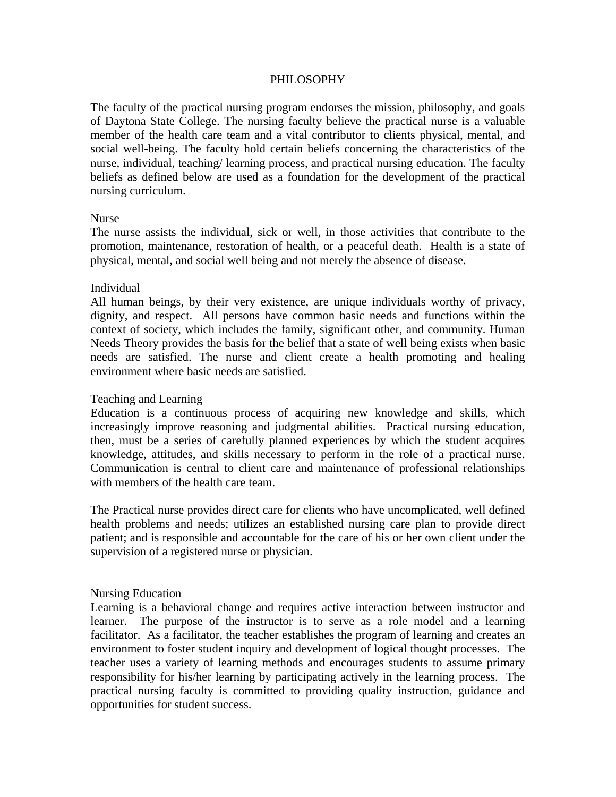# PHILOSOPHY

The faculty of the practical nursing program endorses the mission, philosophy, and goals of Daytona State College. The nursing faculty believe the practical nurse is a valuable member of the health care team and a vital contributor to clients physical, mental, and social well-being. The faculty hold certain beliefs concerning the characteristics of the nurse, individual, teaching/ learning process, and practical nursing education. The faculty beliefs as defined below are used as a foundation for the development of the practical nursing curriculum.

### Nurse

The nurse assists the individual, sick or well, in those activities that contribute to the promotion, maintenance, restoration of health, or a peaceful death. Health is a state of physical, mental, and social well being and not merely the absence of disease.

# Individual

All human beings, by their very existence, are unique individuals worthy of privacy, dignity, and respect. All persons have common basic needs and functions within the context of society, which includes the family, significant other, and community. Human Needs Theory provides the basis for the belief that a state of well being exists when basic needs are satisfied. The nurse and client create a health promoting and healing environment where basic needs are satisfied.

# Teaching and Learning

Education is a continuous process of acquiring new knowledge and skills, which increasingly improve reasoning and judgmental abilities. Practical nursing education, then, must be a series of carefully planned experiences by which the student acquires knowledge, attitudes, and skills necessary to perform in the role of a practical nurse. Communication is central to client care and maintenance of professional relationships with members of the health care team.

The Practical nurse provides direct care for clients who have uncomplicated, well defined health problems and needs; utilizes an established nursing care plan to provide direct patient; and is responsible and accountable for the care of his or her own client under the supervision of a registered nurse or physician.

#### Nursing Education

Learning is a behavioral change and requires active interaction between instructor and learner. The purpose of the instructor is to serve as a role model and a learning facilitator. As a facilitator, the teacher establishes the program of learning and creates an environment to foster student inquiry and development of logical thought processes. The teacher uses a variety of learning methods and encourages students to assume primary responsibility for his/her learning by participating actively in the learning process. The practical nursing faculty is committed to providing quality instruction, guidance and opportunities for student success.